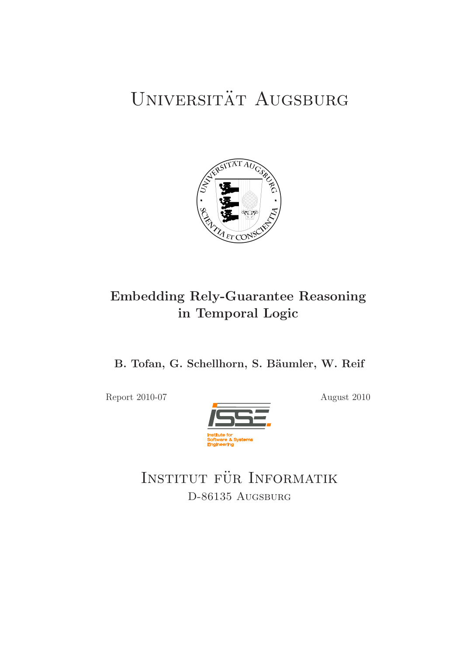# UNIVERSITÄT AUGSBURG



# Embedding Rely-Guarantee Reasoning in Temporal Logic

B. Tofan, G. Schellhorn, S. Bäumler, W. Reif

Report 2010-07 August 2010



INSTITUT FÜR INFORMATIK D-86135 Augsburg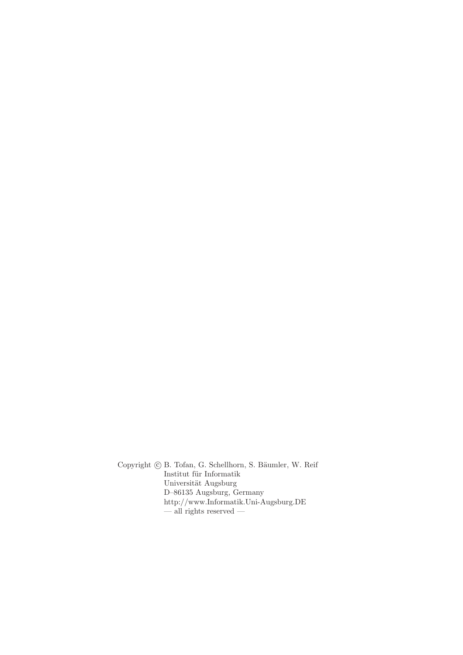Copyright © B. Tofan, G. Schellhorn, S. Bäumler, W. Reif Institut für Informatik Universität Augsburg D–86135 Augsburg, Germany http://www.Informatik.Uni-Augsburg.DE — all rights reserved —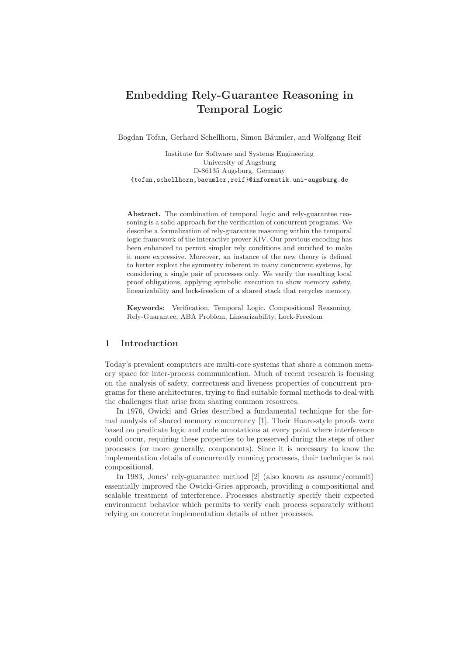# Embedding Rely-Guarantee Reasoning in Temporal Logic

Bogdan Tofan, Gerhard Schellhorn, Simon Bäumler, and Wolfgang Reif

Institute for Software and Systems Engineering University of Augsburg D-86135 Augsburg, Germany {tofan,schellhorn,baeumler,reif}@informatik.uni-augsburg.de

Abstract. The combination of temporal logic and rely-guarantee reasoning is a solid approach for the verification of concurrent programs. We describe a formalization of rely-guarantee reasoning within the temporal logic framework of the interactive prover KIV. Our previous encoding has been enhanced to permit simpler rely conditions and enriched to make it more expressive. Moreover, an instance of the new theory is defined to better exploit the symmetry inherent in many concurrent systems, by considering a single pair of processes only. We verify the resulting local proof obligations, applying symbolic execution to show memory safety, linearizability and lock-freedom of a shared stack that recycles memory.

Keywords: Verification, Temporal Logic, Compositional Reasoning, Rely-Guarantee, ABA Problem, Linearizability, Lock-Freedom

#### 1 Introduction

Today's prevalent computers are multi-core systems that share a common memory space for inter-process communication. Much of recent research is focusing on the analysis of safety, correctness and liveness properties of concurrent programs for these architectures, trying to find suitable formal methods to deal with the challenges that arise from sharing common resources.

In 1976, Owicki and Gries described a fundamental technique for the formal analysis of shared memory concurrency [1]. Their Hoare-style proofs were based on predicate logic and code annotations at every point where interference could occur, requiring these properties to be preserved during the steps of other processes (or more generally, components). Since it is necessary to know the implementation details of concurrently running processes, their technique is not compositional.

In 1983, Jones' rely-guarantee method [2] (also known as assume/commit) essentially improved the Owicki-Gries approach, providing a compositional and scalable treatment of interference. Processes abstractly specify their expected environment behavior which permits to verify each process separately without relying on concrete implementation details of other processes.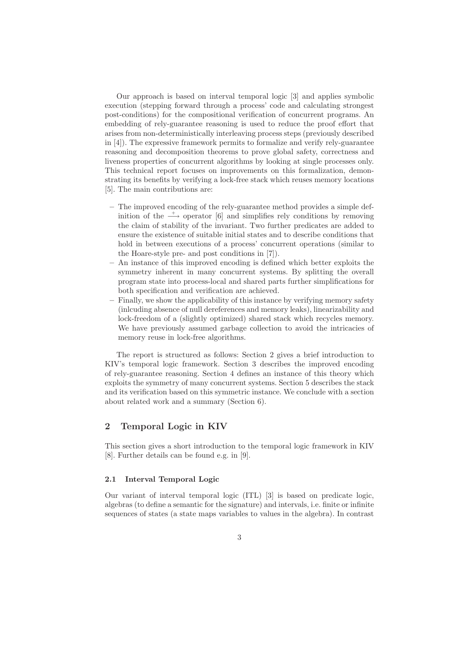Our approach is based on interval temporal logic [3] and applies symbolic execution (stepping forward through a process' code and calculating strongest post-conditions) for the compositional verification of concurrent programs. An embedding of rely-guarantee reasoning is used to reduce the proof effort that arises from non-deterministically interleaving process steps (previously described in [4]). The expressive framework permits to formalize and verify rely-guarantee reasoning and decomposition theorems to prove global safety, correctness and liveness properties of concurrent algorithms by looking at single processes only. This technical report focuses on improvements on this formalization, demonstrating its benefits by verifying a lock-free stack which reuses memory locations [5]. The main contributions are:

- The improved encoding of the rely-guarantee method provides a simple definition of the  $\rightarrow$  operator [6] and simplifies rely conditions by removing the claim of stability of the invariant. Two further predicates are added to ensure the existence of suitable initial states and to describe conditions that hold in between executions of a process' concurrent operations (similar to the Hoare-style pre- and post conditions in [7]).
- An instance of this improved encoding is defined which better exploits the symmetry inherent in many concurrent systems. By splitting the overall program state into process-local and shared parts further simplifications for both specification and verification are achieved.
- Finally, we show the applicability of this instance by verifying memory safety (inlcuding absence of null dereferences and memory leaks), linearizability and lock-freedom of a (slightly optimized) shared stack which recycles memory. We have previously assumed garbage collection to avoid the intricacies of memory reuse in lock-free algorithms.

The report is structured as follows: Section 2 gives a brief introduction to KIV's temporal logic framework. Section 3 describes the improved encoding of rely-guarantee reasoning. Section 4 defines an instance of this theory which exploits the symmetry of many concurrent systems. Section 5 describes the stack and its verification based on this symmetric instance. We conclude with a section about related work and a summary (Section 6).

#### 2 Temporal Logic in KIV

This section gives a short introduction to the temporal logic framework in KIV [8]. Further details can be found e.g. in [9].

#### 2.1 Interval Temporal Logic

Our variant of interval temporal logic (ITL) [3] is based on predicate logic, algebras (to define a semantic for the signature) and intervals, i.e. finite or infinite sequences of states (a state maps variables to values in the algebra). In contrast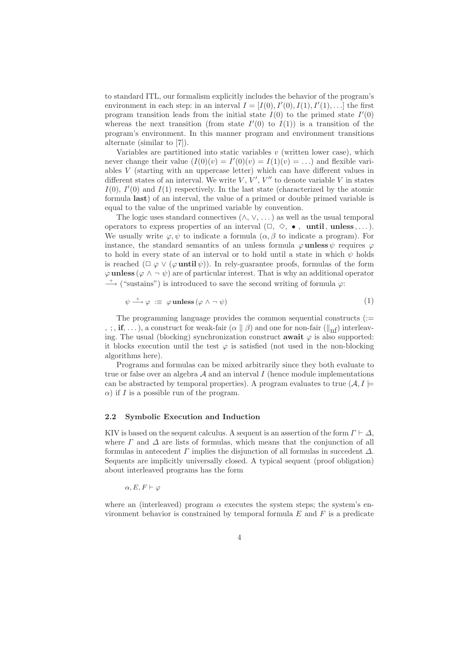to standard ITL, our formalism explicitly includes the behavior of the program's environment in each step: in an interval  $I = [I(0), I'(0), I(1), I'(1), \ldots]$  the first program transition leads from the initial state  $I(0)$  to the primed state  $I'(0)$ whereas the next transition (from state  $I'(0)$  to  $I(1)$ ) is a transition of the program's environment. In this manner program and environment transitions alternate (similar to [7]).

Variables are partitioned into static variables  $v$  (written lower case), which never change their value  $(I(0)(v) = I'(0)(v) = I(1)(v) = ...)$  and flexible variables V (starting with an uppercase letter) which can have different values in different states of an interval. We write  $V, V', V''$  to denote variable V in states  $I(0)$ ,  $I'(0)$  and  $I(1)$  respectively. In the last state (characterized by the atomic formula last) of an interval, the value of a primed or double primed variable is equal to the value of the unprimed variable by convention.

The logic uses standard connectives  $(\wedge, \vee, \dots)$  as well as the usual temporal operators to express properties of an interval  $(\Box, \Diamond, \bullet, \bullet)$ , until, unless,...). We usually write  $\varphi, \psi$  to indicate a formula  $(\alpha, \beta)$  to indicate a program). For instance, the standard semantics of an unless formula  $\varphi$  unless  $\psi$  requires  $\varphi$ to hold in every state of an interval or to hold until a state in which  $\psi$  holds is reached  $(\Box \varphi \vee (\varphi \text{until } \psi))$ . In rely-guarantee proofs, formulas of the form  $\varphi$  unless  $(\varphi \wedge \neg \psi)$  are of particular interest. That is why an additional operator  $\longrightarrow$  ("sustains") is introduced to save the second writing of formula  $\varphi$ :

$$
\psi \stackrel{+}{\longrightarrow} \varphi \; := \; \varphi \, \text{unless} \, (\varphi \wedge \neg \, \psi) \tag{1}
$$

The programming language provides the common sequential constructs (:= , ;, if, ...), a construct for weak-fair  $(\alpha \parallel \beta)$  and one for non-fair  $(\parallel_{\text{nf}})$  interleaving. The usual (blocking) synchronization construct **await**  $\varphi$  is also supported: it blocks execution until the test  $\varphi$  is satisfied (not used in the non-blocking algorithms here).

Programs and formulas can be mixed arbitrarily since they both evaluate to true or false over an algebra  $A$  and an interval  $I$  (hence module implementations can be abstracted by temporal properties). A program evaluates to true  $(A, I \models$  $\alpha$ ) if I is a possible run of the program.

#### 2.2 Symbolic Execution and Induction

KIV is based on the sequent calculus. A sequent is an assertion of the form  $\Gamma \vdash \Delta$ , where  $\Gamma$  and  $\Delta$  are lists of formulas, which means that the conjunction of all formulas in antecedent  $\Gamma$  implies the disjunction of all formulas in succedent  $\Delta$ . Sequents are implicitly universally closed. A typical sequent (proof obligation) about interleaved programs has the form

 $\alpha, E, F \vdash \varphi$ 

where an (interleaved) program  $\alpha$  executes the system steps; the system's environment behavior is constrained by temporal formula  $E$  and  $F$  is a predicate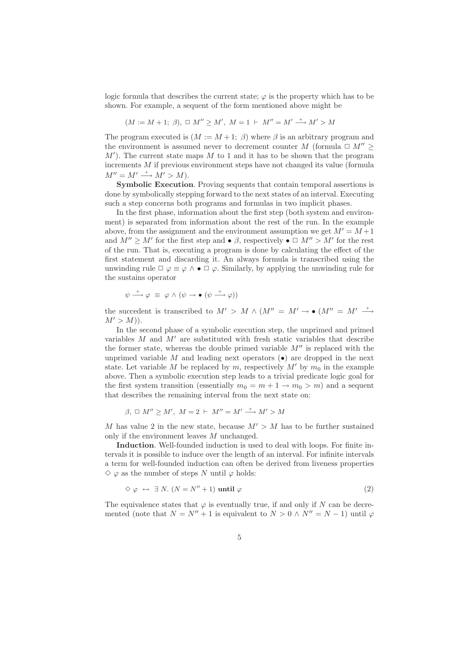logic formula that describes the current state;  $\varphi$  is the property which has to be shown. For example, a sequent of the form mentioned above might be

$$
(M := M + 1; \beta), \sqcup M'' \ge M', \ M = 1 \vdash M'' = M' \xrightarrow{+} M' > M
$$

The program executed is  $(M := M + 1; \beta)$  where  $\beta$  is an arbitrary program and the environment is assumed never to decrement counter M (formula  $\Box M''$ )  $M'$ ). The current state maps M to 1 and it has to be shown that the program increments M if previous environment steps have not changed its value (formula  $M'' = M' \stackrel{+}{\longrightarrow} M' > M$ ).

Symbolic Execution. Proving sequents that contain temporal assertions is done by symbolically stepping forward to the next states of an interval. Executing such a step concerns both programs and formulas in two implicit phases.

In the first phase, information about the first step (both system and environment) is separated from information about the rest of the run. In the example above, from the assignment and the environment assumption we get  $M' = M + 1$ and  $M'' \geq M'$  for the first step and  $\bullet \beta$ , respectively  $\bullet \Box M'' > M'$  for the rest of the run. That is, executing a program is done by calculating the effect of the first statement and discarding it. An always formula is transcribed using the unwinding rule  $\Box \varphi \equiv \varphi \land \bullet \Box \varphi$ . Similarly, by applying the unwinding rule for the sustains operator

$$
\psi \stackrel{+}{\longrightarrow} \varphi \equiv \varphi \land (\psi \rightarrow \bullet (\psi \stackrel{+}{\longrightarrow} \varphi))
$$

the succedent is transcribed to  $M' > M \wedge (M'' = M' \rightarrow \bullet (M'' = M' \stackrel{+}{\longrightarrow}$  $M' > M$ )).

In the second phase of a symbolic execution step, the unprimed and primed variables  $M$  and  $M'$  are substituted with fresh static variables that describe the former state, whereas the double primed variable  $M''$  is replaced with the unprimed variable M and leading next operators  $\left( \bullet \right)$  are dropped in the next state. Let variable M be replaced by m, respectively  $M'$  by  $m_0$  in the example above. Then a symbolic execution step leads to a trivial predicate logic goal for the first system transition (essentially  $m_0 = m + 1 \rightarrow m_0 > m$ ) and a sequent that describes the remaining interval from the next state on:

$$
\beta, \ \Box \ M'' \ge M', \ M = 2 \ \vdash \ M'' = M' \xrightarrow{+} M' > M
$$

M has value 2 in the new state, because  $M' > M$  has to be further sustained only if the environment leaves M unchanged.

Induction. Well-founded induction is used to deal with loops. For finite intervals it is possible to induce over the length of an interval. For infinite intervals a term for well-founded induction can often be derived from liveness properties  $\diamondsuit \varphi$  as the number of steps N until  $\varphi$  holds:

$$
\diamond \varphi \leftrightarrow \exists N. (N = N'' + 1) \text{ until } \varphi \tag{2}
$$

The equivalence states that  $\varphi$  is eventually true, if and only if N can be decremented (note that  $N = N'' + 1$  is equivalent to  $N > 0 \land N'' = N - 1$ ) until  $\varphi$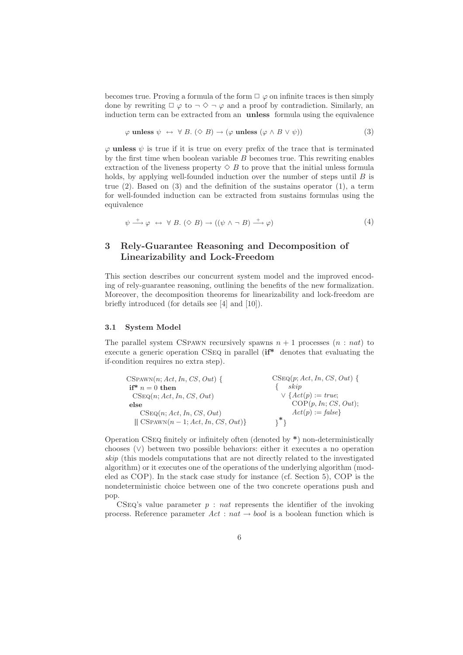becomes true. Proving a formula of the form  $\Box \varphi$  on infinite traces is then simply done by rewriting  $\Box \varphi$  to  $\neg \Diamond \neg \varphi$  and a proof by contradiction. Similarly, an induction term can be extracted from an unless formula using the equivalence

$$
\varphi \text{ unless } \psi \leftrightarrow \forall B. (\Diamond B) \to (\varphi \text{ unless } (\varphi \land B \lor \psi))
$$
\n(3)

 $\varphi$  unless  $\psi$  is true if it is true on every prefix of the trace that is terminated by the first time when boolean variable B becomes true. This rewriting enables extraction of the liveness property  $\Diamond$  B to prove that the initial unless formula holds, by applying well-founded induction over the number of steps until  $B$  is true  $(2)$ . Based on  $(3)$  and the definition of the sustains operator  $(1)$ , a term for well-founded induction can be extracted from sustains formulas using the equivalence

$$
\psi \stackrel{+}{\longrightarrow} \varphi \leftrightarrow \forall B. (\Diamond B) \to ((\psi \land \neg B) \stackrel{+}{\longrightarrow} \varphi) \tag{4}
$$

# 3 Rely-Guarantee Reasoning and Decomposition of Linearizability and Lock-Freedom

This section describes our concurrent system model and the improved encoding of rely-guarantee reasoning, outlining the benefits of the new formalization. Moreover, the decomposition theorems for linearizability and lock-freedom are briefly introduced (for details see [4] and [10]).

#### 3.1 System Model

The parallel system CSPAWN recursively spawns  $n + 1$  processes  $(n : nat)$  to execute a generic operation CSeq in parallel (if\* denotes that evaluating the if-condition requires no extra step).

| $CSPAWN(n; Act, In, CS, Out)$ {             | $CSeq(p; Act, In, CS, Out)$ { |
|---------------------------------------------|-------------------------------|
| if* $n = 0$ then                            | skip                          |
| CSeq(n; Act, In, CS, Out)                   | $\vee$ { $Act(p) := true;$    |
| else                                        | COP(p, In; CS, Out);          |
| CSeQ(n; Act, In, CS, Out)                   | $Act(p) := \text{false}$      |
| $\vert$ CSPAWN $(n-1; Act, In, CS, Out)\}\$ |                               |

Operation CSeq finitely or infinitely often (denoted by \*) non-deterministically chooses (∨) between two possible behaviors: either it executes a no operation skip (this models computations that are not directly related to the investigated algorithm) or it executes one of the operations of the underlying algorithm (modeled as COP). In the stack case study for instance (cf. Section 5), COP is the nondeterministic choice between one of the two concrete operations push and pop.

CSEQ's value parameter  $p : nat$  represents the identifier of the invoking process. Reference parameter  $Act : nat \rightarrow bool$  is a boolean function which is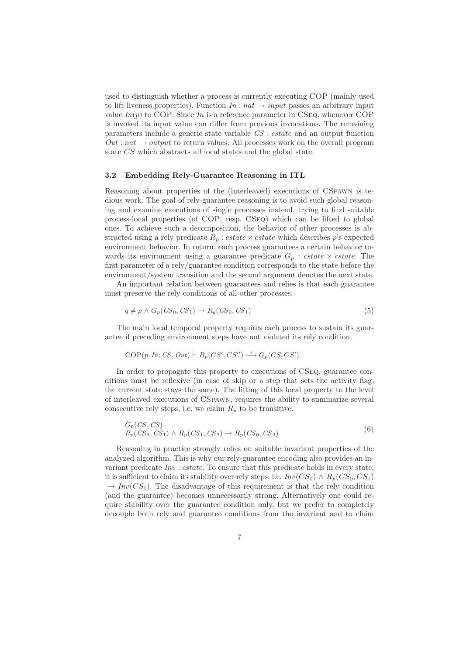used to distinguish whether a process is currently executing COP (mainly used to lift liveness properties). Function  $In : nat \rightarrow input$  passes an arbitrary input value  $In(p)$  to COP. Since In is a reference parameter in CSEQ, whenever COP is invoked its input value can differ from previous invocations. The remaining parameters include a generic state variable CS : cstate and an output function  $Out : nat \rightarrow output$  to return values. All processes work on the overall program state CS which abstracts all local states and the global state.

#### 3.2 Embedding Rely-Guarantee Reasoning in ITL

Reasoning about properties of the (interleaved) executions of CSpawn is tedious work. The goal of rely-guarantee reasoning is to avoid such global reasoning and examine executions of single processes instead, trying to find suitable process-local properties (of COP, resp. CSeq) which can be lifted to global ones. To achieve such a decomposition, the behavior of other processes is abstracted using a rely predicate  $R_p : cstate \times cstate$  which describes p's expected environment behavior. In return, each process guarantees a certain behavior towards its environment using a guarantee predicate  $G_p$ : cstate  $\times$  cstate. The first parameter of a rely/guarantee condition corresponds to the state before the environment/system transition and the second argument denotes the next state.

An important relation between guarantees and relies is that each guarantee must preserve the rely conditions of all other processes.

$$
q \neq p \land G_p(CS_0, CS_1) \rightarrow R_q(CS_0, CS_1)
$$
\n
$$
(5)
$$

The main local temporal property requires each process to sustain its guarantee if preceding environment steps have not violated its rely condition.

$$
COP(p, In; CS, Out) \vdash R_p(CS', CS'') \xrightarrow{+} G_p(CS, CS')
$$

In order to propagate this property to executions of CSeq, guarantee conditions must be reflexive (in case of skip or a step that sets the activity flag, the current state stays the same). The lifting of this local property to the level of interleaved executions of CSpawn, requires the ability to summarize several consecutive rely steps, i.e. we claim  $R_p$  to be transitive.

$$
G_p(CS, CS)
$$
  
\n
$$
R_p(CS_0, CS_1) \land R_p(CS_1, CS_2) \rightarrow R_p(CS_0, CS_2)
$$
\n
$$
(6)
$$

Reasoning in practice strongly relies on suitable invariant properties of the analyzed algorithm. This is why our rely-guarantee encoding also provides an invariant predicate  $Inv : cstate$ . To ensure that this predicate holds in every state, it is sufficient to claim its stability over rely steps, i.e.  $Inv(CS_0) \wedge R_n(CS_0, CS_1)$  $\rightarrow Inv(CS_1)$ . The disadvantage of this requirement is that the rely condition (and the guarantee) becomes unnecessarily strong. Alternatively one could require stability over the guarantee condition only, but we prefer to completely decouple both rely and guarantee conditions from the invariant and to claim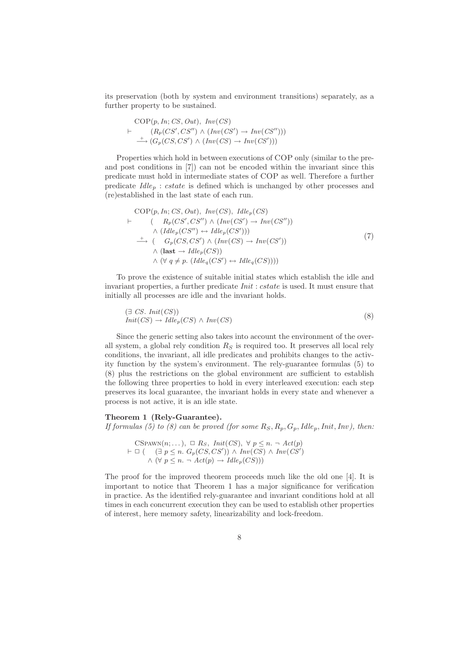its preservation (both by system and environment transitions) separately, as a further property to be sustained.

$$
COP(p, In; CS, Out), Inv(CS)
$$
  
+  $(R_p(CS', CS'') \land (Inv(CS') \rightarrow Inv(CS'')))$   
 $\xrightarrow{(G_p(CS, CS') \land (Inv(CS) \rightarrow Inv(CS')))}$ 

Properties which hold in between executions of COP only (similar to the preand post conditions in [7]) can not be encoded within the invariant since this predicate must hold in intermediate states of COP as well. Therefore a further predicate  $I dle<sub>p</sub> : cstate$  is defined which is unchanged by other processes and (re)established in the last state of each run.

$$
COP(p, In; CS, Out), Inv(CS), \, \text{Id}_{P}(CS)
$$
\n
$$
\vdash (R_p(CS', CS'') \land (Inv(CS') \to Inv(CS''))
$$
\n
$$
\land (\text{Id}_{P_p}(CS'') \leftrightarrow \text{Id}_{P_p}(CS')))
$$
\n
$$
\to (G_p(CS, CS') \land (Inv(CS) \to Inv(CS'))
$$
\n
$$
\land (\text{last} \to \text{Id}_{P_p}(CS))
$$
\n
$$
\land (\forall q \neq p. (\text{Id}_{P_q}(CS') \leftrightarrow \text{Id}_{P_q}(CS))))
$$
\n(7)

To prove the existence of suitable initial states which establish the idle and invariant properties, a further predicate *Init : cstate* is used. It must ensure that initially all processes are idle and the invariant holds.

$$
(\exists \; CS. \;Init(CS))Init(CS) \rightarrow \; Iale_p(CS) \land \; Inv(CS)
$$
\n(8)

Since the generic setting also takes into account the environment of the overall system, a global rely condition  $R<sub>S</sub>$  is required too. It preserves all local rely conditions, the invariant, all idle predicates and prohibits changes to the activity function by the system's environment. The rely-guarantee formulas (5) to (8) plus the restrictions on the global environment are sufficient to establish the following three properties to hold in every interleaved execution: each step preserves its local guarantee, the invariant holds in every state and whenever a process is not active, it is an idle state.

#### Theorem 1 (Rely-Guarantee).

If formulas (5) to (8) can be proved (for some  $R_S, R_p, G_p, Idle_p,Init, Inv$ ), then:

CSPANN(n;...), 
$$
\Box
$$
 Rs,  $Init(CS)$ ,  $\forall p \leq n. \neg Act(p)$   
\n $\vdash \Box$  ( $\exists p \leq n. G_p(CS, CS') \land Inv(CS) \land Inv(CS') \land (\forall p \leq n. \neg Act(p) \rightarrow Idle_p(CS)))$ 

The proof for the improved theorem proceeds much like the old one [4]. It is important to notice that Theorem 1 has a major significance for verification in practice. As the identified rely-guarantee and invariant conditions hold at all times in each concurrent execution they can be used to establish other properties of interest, here memory safety, linearizability and lock-freedom.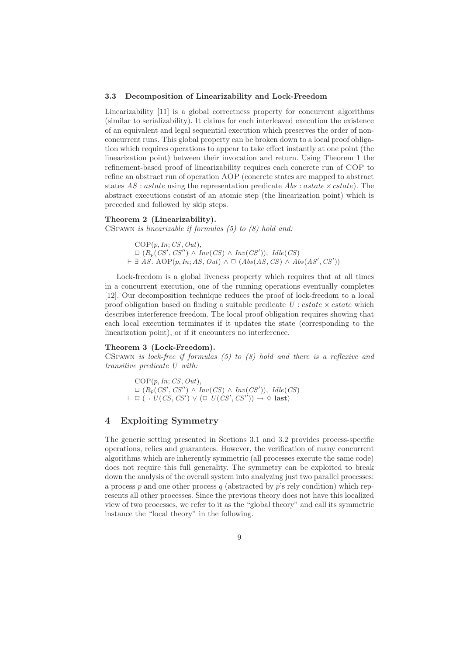#### 3.3 Decomposition of Linearizability and Lock-Freedom

Linearizability [11] is a global correctness property for concurrent algorithms (similar to serializability). It claims for each interleaved execution the existence of an equivalent and legal sequential execution which preserves the order of nonconcurrent runs. This global property can be broken down to a local proof obligation which requires operations to appear to take effect instantly at one point (the linearization point) between their invocation and return. Using Theorem 1 the refinement-based proof of linearizability requires each concrete run of COP to refine an abstract run of operation AOP (concrete states are mapped to abstract states  $AS: a state$  using the representation predicate  $Abs: a state \times cstate$ ). The abstract executions consist of an atomic step (the linearization point) which is preceded and followed by skip steps.

#### Theorem 2 (Linearizability).

CSpawn is linearizable if formulas (5) to (8) hold and:

 $COP(p, In; CS, Out),$  $\Box$   $(R_p(CS', CS'') \land Inv(CS) \land Inv(CS'))$ ,  $Idle(CS)$  $\vdash \exists \overline{AS}.\ \text{AOP}(p, \overline{In}; \overline{AS}, \overline{Out}) \land \Box (\overline{Abs}(\overline{AS}, \overline{CS}) \land \overline{Abs}(\overline{AS}', \overline{CS}'))$ 

Lock-freedom is a global liveness property which requires that at all times in a concurrent execution, one of the running operations eventually completes [12]. Our decomposition technique reduces the proof of lock-freedom to a local proof obligation based on finding a suitable predicate  $U$ : cstate  $\times$  cstate which describes interference freedom. The local proof obligation requires showing that each local execution terminates if it updates the state (corresponding to the linearization point), or if it encounters no interference.

#### Theorem 3 (Lock-Freedom).

CSPAWN is lock-free if formulas  $(5)$  to  $(8)$  hold and there is a reflexive and transitive predicate U with:

 $COP(p, In; CS, Out),$  $\Box$   $(R_p(CS', CS'') \land Inv(CS) \land Inv(CS'))$ ,  $Idle(CS)$  $\vdash \Box (\neg \nu(CS, CS') \vee (\Box \nu(CS', CS'')) \rightarrow \Diamond \text{ last})$ 

## 4 Exploiting Symmetry

The generic setting presented in Sections 3.1 and 3.2 provides process-specific operations, relies and guarantees. However, the verification of many concurrent algorithms which are inherently symmetric (all processes execute the same code) does not require this full generality. The symmetry can be exploited to break down the analysis of the overall system into analyzing just two parallel processes: a process p and one other process q (abstracted by  $p$ 's rely condition) which represents all other processes. Since the previous theory does not have this localized view of two processes, we refer to it as the "global theory" and call its symmetric instance the "local theory" in the following.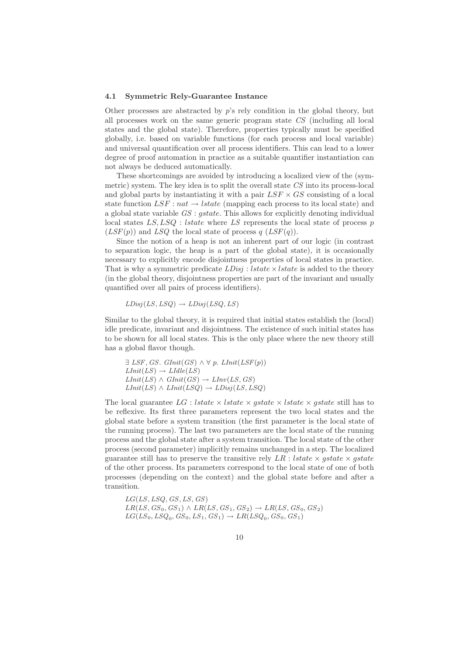#### 4.1 Symmetric Rely-Guarantee Instance

Other processes are abstracted by  $p$ 's rely condition in the global theory, but all processes work on the same generic program state CS (including all local states and the global state). Therefore, properties typically must be specified globally, i.e. based on variable functions (for each process and local variable) and universal quantification over all process identifiers. This can lead to a lower degree of proof automation in practice as a suitable quantifier instantiation can not always be deduced automatically.

These shortcomings are avoided by introducing a localized view of the (symmetric) system. The key idea is to split the overall state  $CS$  into its process-local and global parts by instantiating it with a pair  $LSF \times GS$  consisting of a local state function  $LSF : nat \rightarrow Istate$  (mapping each process to its local state) and a global state variable GS : gstate. This allows for explicitly denoting individual local states  $LS, LSQ$ : *lstate* where LS represents the local state of process p  $(LSF(p))$  and  $LSQ$  the local state of process q  $(LSF(q))$ .

Since the notion of a heap is not an inherent part of our logic (in contrast to separation logic, the heap is a part of the global state), it is occasionally necessary to explicitly encode disjointness properties of local states in practice. That is why a symmetric predicate  $LDisj: Istate \times Istate$  is added to the theory (in the global theory, disjointness properties are part of the invariant and usually quantified over all pairs of process identifiers).

$$
LDisj(LS,LSQ) \rightarrow LDisj(LSQ,LS)
$$

Similar to the global theory, it is required that initial states establish the (local) idle predicate, invariant and disjointness. The existence of such initial states has to be shown for all local states. This is the only place where the new theory still has a global flavor though.

 $\exists LSF, GS. GInit(GS) \wedge \forall p. LInit(LSF(p))$  $LInit(LS) \rightarrow LIdle(LS)$  $LInit(LS) \wedge GInit(GS) \rightarrow LInv(LS, GS)$  $LInit(LS) \wedge LInit(LSQ) \rightarrow LDisj(LS,LSQ)$ 

The local guarantee  $LG$  : *lstate*  $\times$  *lstate*  $\times$  *gstate*  $\times$  *gstate* still has to be reflexive. Its first three parameters represent the two local states and the global state before a system transition (the first parameter is the local state of the running process). The last two parameters are the local state of the running process and the global state after a system transition. The local state of the other process (second parameter) implicitly remains unchanged in a step. The localized guarantee still has to preserve the transitive rely  $LR$ : lstate  $\times$  gstate  $\times$  gstate of the other process. Its parameters correspond to the local state of one of both processes (depending on the context) and the global state before and after a transition.

 $LG(LS, LSQ, GS, LS, GS)$  $LR(LS, GS_0, GS_1) \wedge LR(LS, GS_1, GS_2) \rightarrow LR(LS, GS_0, GS_2)$  $LG(LS_0,LSQ_0,GS_0,LS_1,GS_1) \rightarrow LR(LSQ_0,GS_0,GS_1)$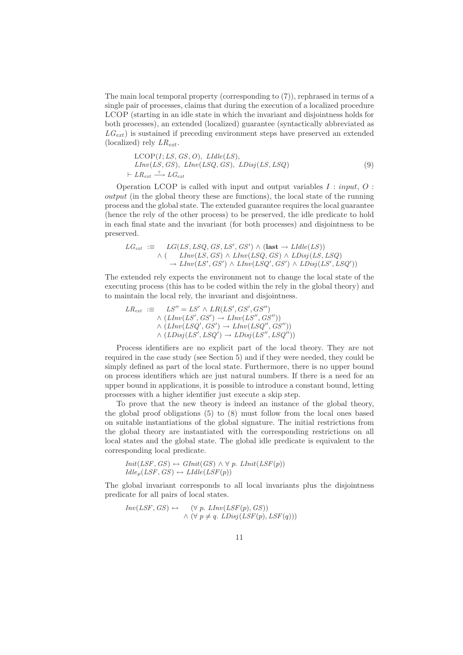The main local temporal property (corresponding to (7)), rephrased in terms of a single pair of processes, claims that during the execution of a localized procedure LCOP (starting in an idle state in which the invariant and disjointness holds for both processes), an extended (localized) guarantee (syntactically abbreviated as  $LG_{ext}$ ) is sustained if preceding environment steps have preserved an extended (localized) rely  $LR_{ext}$ .

$$
LCOP(I; LS, GS, O), LIdle(LS),LInv(LS, GS), LInv(LSQ, GS), LDisj(LS, LSQ)\vdash LR_{ext} \xrightarrow{\longrightarrow} LG_{ext}
$$
 (9)

Operation LCOP is called with input and output variables  $I : input, O:$ output (in the global theory these are functions), the local state of the running process and the global state. The extended guarantee requires the local guarantee (hence the rely of the other process) to be preserved, the idle predicate to hold in each final state and the invariant (for both processes) and disjointness to be preserved.

$$
LG_{ext} := LG(LS,LSQ,GS,LS',GS') \wedge (\text{last} \rightarrow LIdle(LS))
$$
  
 
$$
\wedge (\quad LInv(LS,GS) \wedge LInv(LSQ,GS) \wedge LDisj(LS,LSQ)
$$
  
 
$$
\rightarrow LInv(LS',GS') \wedge LInv(LSQ',GS') \wedge LDisj(LS',LSQ'))
$$

The extended rely expects the environment not to change the local state of the executing process (this has to be coded within the rely in the global theory) and to maintain the local rely, the invariant and disjointness.

$$
LR_{ext} := LS'' = LS' \wedge LR(LS', GS', GS'')
$$
  
\n
$$
\wedge (LInv(LS', GS') \rightarrow LInv(LS'', GS''))
$$
  
\n
$$
\wedge (LInv(LSQ', GS') \rightarrow LInv(LSQ'', GS''))
$$
  
\n
$$
\wedge (LDisj(LS', LSQ') \rightarrow LDisj(LS'', LSQ''))
$$

Process identifiers are no explicit part of the local theory. They are not required in the case study (see Section 5) and if they were needed, they could be simply defined as part of the local state. Furthermore, there is no upper bound on process identifiers which are just natural numbers. If there is a need for an upper bound in applications, it is possible to introduce a constant bound, letting processes with a higher identifier just execute a skip step.

To prove that the new theory is indeed an instance of the global theory, the global proof obligations (5) to (8) must follow from the local ones based on suitable instantiations of the global signature. The initial restrictions from the global theory are instantiated with the corresponding restrictions on all local states and the global state. The global idle predicate is equivalent to the corresponding local predicate.

$$
Init(LSF, GS) \leftrightarrow GInit(GS) \land \forall p. LInit(LSF(p))
$$
  

$$
Idle_p(LSF, GS) \leftrightarrow LIdle(LSF(p))
$$

The global invariant corresponds to all local invariants plus the disjointness predicate for all pairs of local states.

$$
Inv(LSF, GS) \leftrightarrow \langle \forall p. LInv(LSF(p), GS) \rangle
$$
  
 
$$
\land \langle \forall p \neq q. LDisj(LSF(p), LSF(q)) \rangle
$$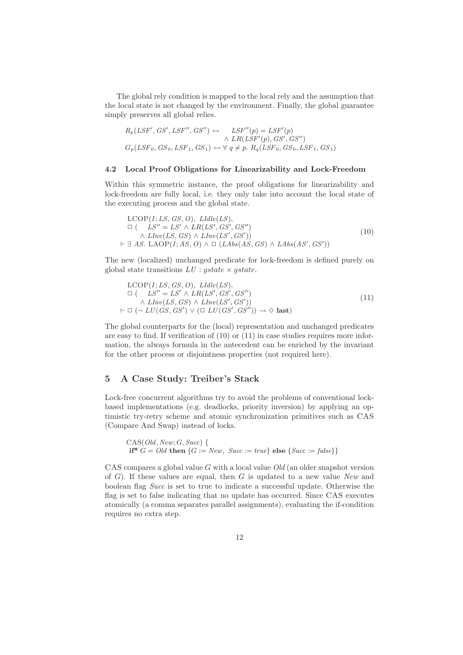The global rely condition is mapped to the local rely and the assumption that the local state is not changed by the environment. Finally, the global guarantee simply preserves all global relies.

$$
R_p(LSF', GS', LSF'', GS'') \leftrightarrow \begin{array}{c} \longrightarrow & LSF''(p) = LSF'(p) \\ \wedge & LR(LSF'(p), GS', GS'') \\ G_p(LSF_0, GS_0, LSF_1, GS_1) \leftrightarrow \forall q \neq p. \ R_q(LSF_0, GS_0, LSF_1, GS_1) \end{array}
$$

#### 4.2 Local Proof Obligations for Linearizability and Lock-Freedom

Within this symmetric instance, the proof obligations for linearizability and lock-freedom are fully local, i.e. they only take into account the local state of the executing process and the global state.

$$
\begin{aligned}\n\text{LCOP}(I; LS, GS, O), \ LIdle(LS), \\
\Box \left( \begin{array}{c} LS'' = LS' \land LR(LS', GS', GS'') \\
 \land \ LInv(LS, GS) \land LInv(LS', GS') \end{array} \right) \\
\vdash \exists \ AS. \ LAOP(I; AS, O) \land \Box \left( \begin{array}{c} LAbs(AS, GS) \land \ LAbs(AS', GS') \end{array} \right)\n\end{aligned} \tag{10}
$$

The new (localized) unchanged predicate for lock-freedom is defined purely on global state transitions  $LU$  : *astate*  $\times$  *astate*.

$$
\begin{aligned}\n\text{LCOP}(I; LS, GS, O), \quad LIdle(LS), \\
\Box \ (\quad LS'' = LS' \land LR(LS', GS', GS'') \\
\land \quad LInv(LS, GS) \land LInv(LS', GS')) \\
\vdash \Box \ (\neg \quad LU(GS, GS') \lor (\Box \quad LU(GS', GS'')) \rightarrow \Diamond \text{ last})\n\end{aligned} \tag{11}
$$

The global counterparts for the (local) representation and unchanged predicates are easy to find. If verification of (10) or (11) in case studies requires more information, the always formula in the antecedent can be enriched by the invariant for the other process or disjointness properties (not required here).

## 5 A Case Study: Treiber's Stack

Lock-free concurrent algorithms try to avoid the problems of conventional lockbased implementations (e.g. deadlocks, priority inversion) by applying an optimistic try-retry scheme and atomic synchronization primitives such as CAS (Compare And Swap) instead of locks.

```
CAS(Old, New; G, Succ) {
if* G = Old then \{G := New, Succ := true\} else \{Succ := false\}
```
CAS compares a global value  $G$  with a local value  $Old$  (an older snapshot version of  $G$ ). If these values are equal, then  $G$  is updated to a new value New and boolean flag Succ is set to true to indicate a successful update. Otherwise the flag is set to false indicating that no update has occurred. Since CAS executes atomically (a comma separates parallel assignments), evaluating the if-condition requires no extra step.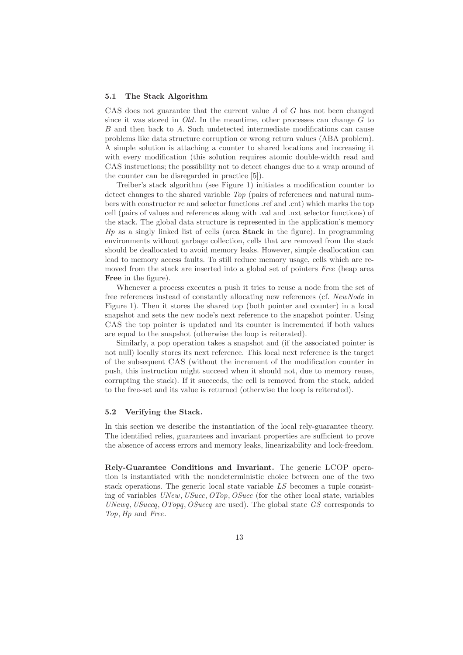#### 5.1 The Stack Algorithm

CAS does not guarantee that the current value A of G has not been changed since it was stored in  $Old$ . In the meantime, other processes can change  $G$  to B and then back to A. Such undetected intermediate modifications can cause problems like data structure corruption or wrong return values (ABA problem). A simple solution is attaching a counter to shared locations and increasing it with every modification (this solution requires atomic double-width read and CAS instructions; the possibility not to detect changes due to a wrap around of the counter can be disregarded in practice [5]).

Treiber's stack algorithm (see Figure 1) initiates a modification counter to detect changes to the shared variable Top (pairs of references and natural numbers with constructor rc and selector functions .ref and .cnt) which marks the top cell (pairs of values and references along with .val and .nxt selector functions) of the stack. The global data structure is represented in the application's memory  $Hp$  as a singly linked list of cells (area **Stack** in the figure). In programming environments without garbage collection, cells that are removed from the stack should be deallocated to avoid memory leaks. However, simple deallocation can lead to memory access faults. To still reduce memory usage, cells which are removed from the stack are inserted into a global set of pointers Free (heap area Free in the figure).

Whenever a process executes a push it tries to reuse a node from the set of free references instead of constantly allocating new references (cf. NewNode in Figure 1). Then it stores the shared top (both pointer and counter) in a local snapshot and sets the new node's next reference to the snapshot pointer. Using CAS the top pointer is updated and its counter is incremented if both values are equal to the snapshot (otherwise the loop is reiterated).

Similarly, a pop operation takes a snapshot and (if the associated pointer is not null) locally stores its next reference. This local next reference is the target of the subsequent CAS (without the increment of the modification counter in push, this instruction might succeed when it should not, due to memory reuse, corrupting the stack). If it succeeds, the cell is removed from the stack, added to the free-set and its value is returned (otherwise the loop is reiterated).

#### 5.2 Verifying the Stack.

In this section we describe the instantiation of the local rely-guarantee theory. The identified relies, guarantees and invariant properties are sufficient to prove the absence of access errors and memory leaks, linearizability and lock-freedom.

Rely-Guarantee Conditions and Invariant. The generic LCOP operation is instantiated with the nondeterministic choice between one of the two stack operations. The generic local state variable LS becomes a tuple consisting of variables UNew, USucc, OTop, OSucc (for the other local state, variables UNewq, USuccq, OTopq, OSuccq are used). The global state GS corresponds to Top, Hp and Free.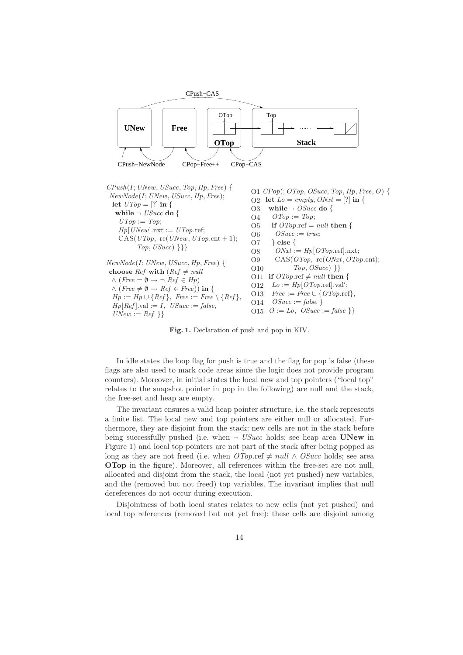

 $Top, USucc)$ }}}  $NewNode(I; UNew, USucc, Hp, Free)$  { choose Ref with ( $Ref \neq null$  $\wedge$  (Free =  $\emptyset \rightarrow \neg$  Ref  $\in$  Hp)  $\wedge$  (Free  $\neq \emptyset \rightarrow Ref \in Free)$ ) in {  $Hp := Hp \cup \{Ref\}, \ Free := Free \setminus \{Ref\},$  $Hp[Ref].val := I, USucc := false,$  $UNew := Ref$  } O8 O9 O10 O11 if  $\text{Orop}.\text{ref} \neq \text{null}$  then { O12 O13 O14 O15  $O := Lo$ ,  $OSucc := false$  } }  $ONxt := Hp[OTop.\text{ref}].\text{nxt};$ CAS(OTop, rc(ONxt, OTop.cnt); Top, OSucc) }}  $Lo := \overline{Hp[OTop.\text{ref}].\text{val}'};$  $Free := Free \cup \{OTop.\text{ref}\},$  $OSucc := false$ 

Fig. 1. Declaration of push and pop in KIV.

In idle states the loop flag for push is true and the flag for pop is false (these flags are also used to mark code areas since the logic does not provide program counters). Moreover, in initial states the local new and top pointers ("local top" relates to the snapshot pointer in pop in the following) are null and the stack, the free-set and heap are empty.

The invariant ensures a valid heap pointer structure, i.e. the stack represents a finite list. The local new and top pointers are either null or allocated. Furthermore, they are disjoint from the stack: new cells are not in the stack before being successfully pushed (i.e. when  $\neg$  *USucc* holds; see heap area **UNew** in Figure 1) and local top pointers are not part of the stack after being popped as long as they are not freed (i.e. when  $OTop$ .ref  $\neq null \wedge OSucc$  holds; see area OTop in the figure). Moreover, all references within the free-set are not null, allocated and disjoint from the stack, the local (not yet pushed) new variables, and the (removed but not freed) top variables. The invariant implies that null dereferences do not occur during execution.

Disjointness of both local states relates to new cells (not yet pushed) and local top references (removed but not yet free): these cells are disjoint among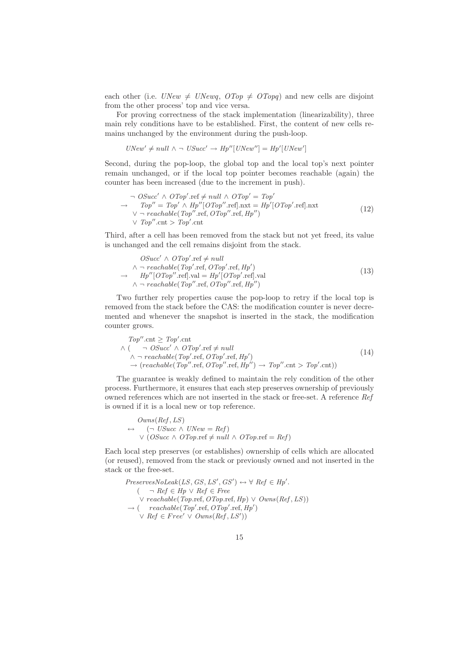each other (i.e.  $UNew \neq \U{U}Newq$ ,  $\overline{OTop} \neq \overline{OTopq}$ ) and new cells are disjoint from the other process' top and vice versa.

For proving correctness of the stack implementation (linearizability), three main rely conditions have to be established. First, the content of new cells remains unchanged by the environment during the push-loop.

 $UNew' \neq null \land \neg \text{ } USucc' \rightarrow Hp''[UNew''] = Hp'[UNew']$ 

Second, during the pop-loop, the global top and the local top's next pointer remain unchanged, or if the local top pointer becomes reachable (again) the counter has been increased (due to the increment in push).

$$
\neg OSucc' \land OTop'.ref \neq null \land OTop' = Top'
$$
  
\n
$$
\rightarrow Top'' = Top' \land Hyp''[OTop''.ref].nxt = Hyp'[OTop'.ref].nxt
$$
  
\n
$$
\lor \neg reachable(Top''.ref, OTop''.ref, Hp'')
$$
  
\n
$$
\lor Top''.cnt > Top'.cnt
$$
\n(12)

Third, after a cell has been removed from the stack but not yet freed, its value is unchanged and the cell remains disjoint from the stack.

$$
OSucc' \land OTop'.ref \neq null
$$
  
∧ ¬ reachable (Top'.ref, OTop'.ref, Hp')  
→ 
$$
Hp''[OTop''.ref].val = Hp'[OTop'.ref].val
$$
  
∧ ¬ reachable (Top''.ref, OTop''.ref, Hp'') (13)

Two further rely properties cause the pop-loop to retry if the local top is removed from the stack before the CAS: the modification counter is never decremented and whenever the snapshot is inserted in the stack, the modification counter grows.

$$
Top''.ent \ge Top'.ent\n\wedge (\neg OSucc' \wedge OTop'.ref \ne null\n\wedge \neg reachable(Top'.ref, OTop'.ref, Hp')\n\rightarrow (reachable(Top''.ref, OTop''.ref, Hp'') \rightarrow Top''.ent > Top'.cnt))
$$
\n(14)

The guarantee is weakly defined to maintain the rely condition of the other process. Furthermore, it ensures that each step preserves ownership of previously owned references which are not inserted in the stack or free-set. A reference Ref is owned if it is a local new or top reference.

$$
Owns(Ref, LS)
$$
  
\n
$$
\leftrightarrow (\neg \text{ USucc } \land \text{ UNew } = Ref)
$$
  
\n
$$
\lor (\text{OSucc } \land \text{ OTop}.\text{ref } \neq \text{null } \land \text{ OTop}.\text{ref } = Ref)
$$

Each local step preserves (or establishes) ownership of cells which are allocated (or reused), removed from the stack or previously owned and not inserted in the stack or the free-set.

$$
Preserves \tNoLeak(LS, GS, LS', GS') \leftrightarrow \forall \; Ref \in Hyp'.
$$
  
\n
$$
(\neg \; Ref \in Hyp \lor \; Ref \in Free \lor \; reachable(Top.\text{ref}, \text{OTop}.\text{ref}, \text{Hp}) \lor \text{Owns}(Ref, LS))
$$
  
\n
$$
\rightarrow (\text{reachable}(Top.\text{ref}, \text{OTop}'.\text{ref}, \text{Hp'}) \lor \text{Ref} \in Free' \lor \text{Owns}(Ref, LS'))
$$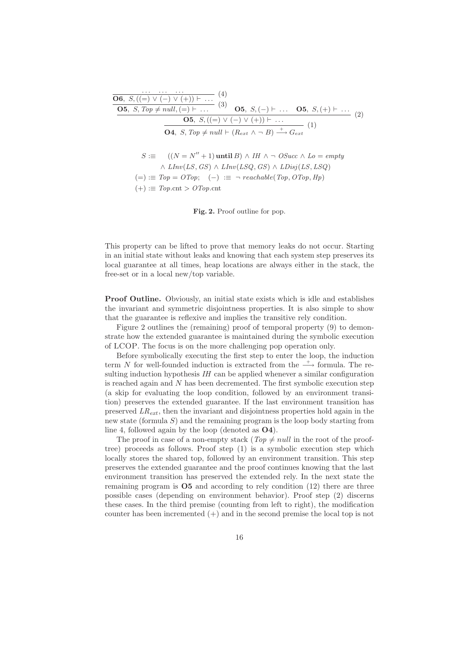$$
\begin{array}{ll}\n\overbrace{\text{O6, } S, ((=) \vee (-) \vee (+)) \vdash \dots} & (4) \\
\hline\n\text{O5, } S, Top \neq null, (=) \vdash \dots & (3) \\
\hline\n\text{O5, } S, ((=) \vee (-) \vee (+)) \vdash \dots & \text{O5, } S, (+) \vdash \dots \\
\hline\n\text{O4, } S, Top \neq null \vdash (R_{ext} \wedge \neg B) \xrightarrow{+} G_{ext} & (1) \\
\end{array}
$$
\n
$$
S := ((N = N'' + 1) \text{until } B) \wedge IH \wedge \neg OSucc \wedge Lo = empty \\
\wedge LInv(LS, GS) \wedge LInv(LSQ, GS) \wedge LDisj(LS, LSQ) \\
 (=) := Top = OTop; (-) := \neg reachable(Top, OTop,Hp) \\
 (+) := Top_{ext} > OTop_{ext} \n\end{array}
$$

Fig. 2. Proof outline for pop.

This property can be lifted to prove that memory leaks do not occur. Starting in an initial state without leaks and knowing that each system step preserves its local guarantee at all times, heap locations are always either in the stack, the free-set or in a local new/top variable.

Proof Outline. Obviously, an initial state exists which is idle and establishes the invariant and symmetric disjointness properties. It is also simple to show that the guarantee is reflexive and implies the transitive rely condition.

Figure 2 outlines the (remaining) proof of temporal property (9) to demonstrate how the extended guarantee is maintained during the symbolic execution of LCOP. The focus is on the more challenging pop operation only.

Before symbolically executing the first step to enter the loop, the induction term N for well-founded induction is extracted from the  $\rightarrow$  formula. The resulting induction hypothesis  $I$  can be applied whenever a similar configuration is reached again and  $N$  has been decremented. The first symbolic execution step (a skip for evaluating the loop condition, followed by an environment transition) preserves the extended guarantee. If the last environment transition has preserved  $LR_{ext}$ , then the invariant and disjointness properties hold again in the new state (formula S) and the remaining program is the loop body starting from line 4, followed again by the loop (denoted as O4).

The proof in case of a non-empty stack ( $Top \neq null$  in the root of the prooftree) proceeds as follows. Proof step (1) is a symbolic execution step which locally stores the shared top, followed by an environment transition. This step preserves the extended guarantee and the proof continues knowing that the last environment transition has preserved the extended rely. In the next state the remaining program is  $\overline{O5}$  and according to rely condition (12) there are three possible cases (depending on environment behavior). Proof step (2) discerns these cases. In the third premise (counting from left to right), the modification counter has been incremented  $(+)$  and in the second premise the local top is not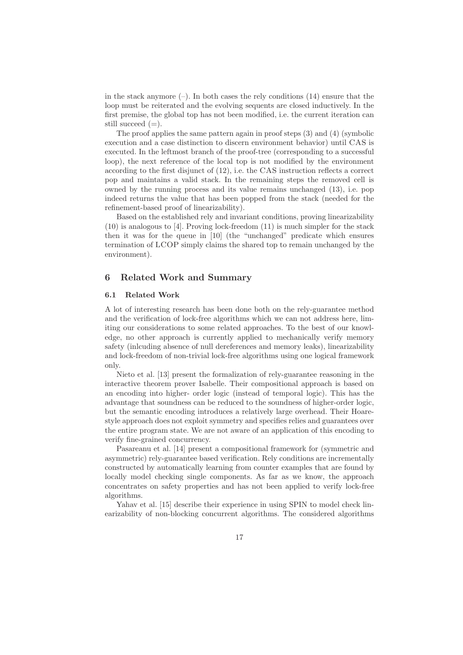in the stack anymore  $(-)$ . In both cases the rely conditions (14) ensure that the loop must be reiterated and the evolving sequents are closed inductively. In the first premise, the global top has not been modified, i.e. the current iteration can still succeed  $(=)$ .

The proof applies the same pattern again in proof steps (3) and (4) (symbolic execution and a case distinction to discern environment behavior) until CAS is executed. In the leftmost branch of the proof-tree (corresponding to a successful loop), the next reference of the local top is not modified by the environment according to the first disjunct of (12), i.e. the CAS instruction reflects a correct pop and maintains a valid stack. In the remaining steps the removed cell is owned by the running process and its value remains unchanged (13), i.e. pop indeed returns the value that has been popped from the stack (needed for the refinement-based proof of linearizability).

Based on the established rely and invariant conditions, proving linearizability (10) is analogous to [4]. Proving lock-freedom (11) is much simpler for the stack then it was for the queue in [10] (the "unchanged" predicate which ensures termination of LCOP simply claims the shared top to remain unchanged by the environment).

#### 6 Related Work and Summary

#### 6.1 Related Work

A lot of interesting research has been done both on the rely-guarantee method and the verification of lock-free algorithms which we can not address here, limiting our considerations to some related approaches. To the best of our knowledge, no other approach is currently applied to mechanically verify memory safety (inlcuding absence of null dereferences and memory leaks), linearizability and lock-freedom of non-trivial lock-free algorithms using one logical framework only.

Nieto et al. [13] present the formalization of rely-guarantee reasoning in the interactive theorem prover Isabelle. Their compositional approach is based on an encoding into higher- order logic (instead of temporal logic). This has the advantage that soundness can be reduced to the soundness of higher-order logic, but the semantic encoding introduces a relatively large overhead. Their Hoarestyle approach does not exploit symmetry and specifies relies and guarantees over the entire program state. We are not aware of an application of this encoding to verify fine-grained concurrency.

Pasareanu et al. [14] present a compositional framework for (symmetric and asymmetric) rely-guarantee based verification. Rely conditions are incrementally constructed by automatically learning from counter examples that are found by locally model checking single components. As far as we know, the approach concentrates on safety properties and has not been applied to verify lock-free algorithms.

Yahav et al. [15] describe their experience in using SPIN to model check linearizability of non-blocking concurrent algorithms. The considered algorithms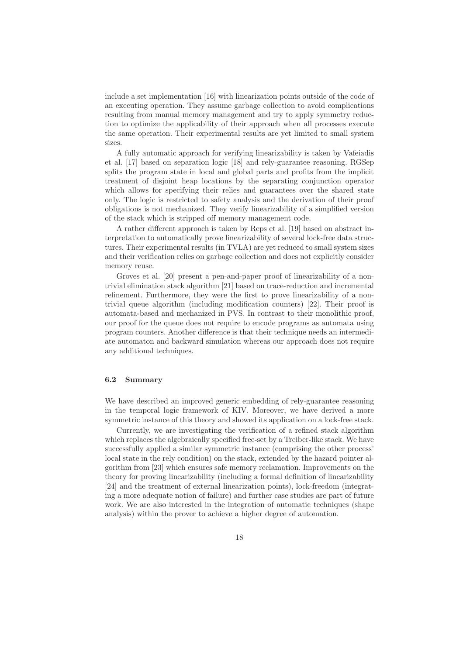include a set implementation [16] with linearization points outside of the code of an executing operation. They assume garbage collection to avoid complications resulting from manual memory management and try to apply symmetry reduction to optimize the applicability of their approach when all processes execute the same operation. Their experimental results are yet limited to small system sizes.

A fully automatic approach for verifying linearizability is taken by Vafeiadis et al. [17] based on separation logic [18] and rely-guarantee reasoning. RGSep splits the program state in local and global parts and profits from the implicit treatment of disjoint heap locations by the separating conjunction operator which allows for specifying their relies and guarantees over the shared state only. The logic is restricted to safety analysis and the derivation of their proof obligations is not mechanized. They verify linearizability of a simplified version of the stack which is stripped off memory management code.

A rather different approach is taken by Reps et al. [19] based on abstract interpretation to automatically prove linearizability of several lock-free data structures. Their experimental results (in TVLA) are yet reduced to small system sizes and their verification relies on garbage collection and does not explicitly consider memory reuse.

Groves et al. [20] present a pen-and-paper proof of linearizability of a nontrivial elimination stack algorithm [21] based on trace-reduction and incremental refinement. Furthermore, they were the first to prove linearizability of a nontrivial queue algorithm (including modification counters) [22]. Their proof is automata-based and mechanized in PVS. In contrast to their monolithic proof, our proof for the queue does not require to encode programs as automata using program counters. Another difference is that their technique needs an intermediate automaton and backward simulation whereas our approach does not require any additional techniques.

#### 6.2 Summary

We have described an improved generic embedding of rely-guarantee reasoning in the temporal logic framework of KIV. Moreover, we have derived a more symmetric instance of this theory and showed its application on a lock-free stack.

Currently, we are investigating the verification of a refined stack algorithm which replaces the algebraically specified free-set by a Treiber-like stack. We have successfully applied a similar symmetric instance (comprising the other process' local state in the rely condition) on the stack, extended by the hazard pointer algorithm from [23] which ensures safe memory reclamation. Improvements on the theory for proving linearizability (including a formal definition of linearizability [24] and the treatment of external linearization points), lock-freedom (integrating a more adequate notion of failure) and further case studies are part of future work. We are also interested in the integration of automatic techniques (shape analysis) within the prover to achieve a higher degree of automation.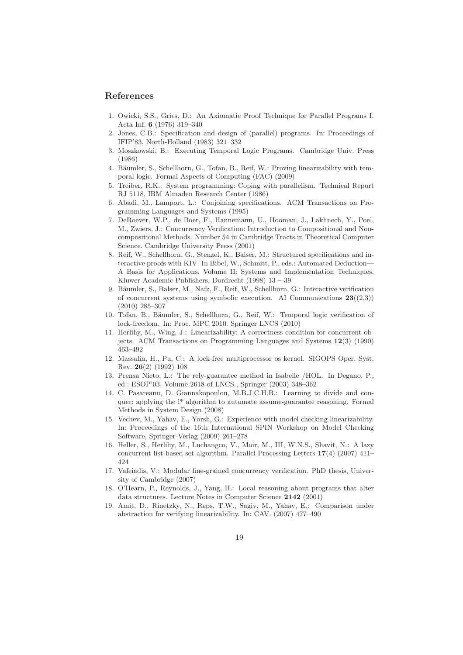#### References

- 1. Owicki, S.S., Gries, D.: An Axiomatic Proof Technique for Parallel Programs I. Acta Inf. 6 (1976) 319–340
- 2. Jones, C.B.: Specification and design of (parallel) programs. In: Proceedings of IFIP'83, North-Holland (1983) 321–332
- 3. Moszkowski, B.: Executing Temporal Logic Programs. Cambridge Univ. Press (1986)
- 4. Bäumler, S., Schellhorn, G., Tofan, B., Reif, W.: Proving linearizability with temporal logic. Formal Aspects of Computing (FAC) (2009)
- 5. Treiber, R.K.: System programming: Coping with parallelism. Technical Report RJ 5118, IBM Almaden Research Center (1986)
- 6. Abadi, M., Lamport, L.: Conjoining specifications. ACM Transactions on Programming Languages and Systems (1995)
- 7. DeRoever, W.P., de Boer, F., Hannemann, U., Hooman, J., Lakhnech, Y., Poel, M., Zwiers, J.: Concurrency Verification: Introduction to Compositional and Noncompositional Methods. Number 54 in Cambridge Tracts in Theoretical Computer Science. Cambridge University Press (2001)
- 8. Reif, W., Schellhorn, G., Stenzel, K., Balser, M.: Structured specifications and interactive proofs with KIV. In Bibel, W., Schmitt, P., eds.: Automated Deduction— A Basis for Applications. Volume II: Systems and Implementation Techniques. Kluwer Academic Publishers, Dordrecht (1998) 13 – 39
- 9. Bäumler, S., Balser, M., Nafz, F., Reif, W., Schellhorn, G.: Interactive verification of concurrent systems using symbolic execution. AI Communications  $23(2,3)$ (2010) 285–307
- 10. Tofan, B., Bäumler, S., Schellhorn, G., Reif, W.: Temporal logic verification of lock-freedom. In: Proc. MPC 2010. Springer LNCS (2010)
- 11. Herlihy, M., Wing, J.: Linearizability: A correctness condition for concurrent objects. ACM Transactions on Programming Languages and Systems 12(3) (1990) 463–492
- 12. Massalin, H., Pu, C.: A lock-free multiprocessor os kernel. SIGOPS Oper. Syst. Rev. 26(2) (1992) 108
- 13. Prensa Nieto, L.: The rely-guarantee method in Isabelle /HOL. In Degano, P., ed.: ESOP'03. Volume 2618 of LNCS., Springer (2003) 348–362
- 14. C. Pasareanu, D. Giannakopoulou, M.B.J.C.H.B.: Learning to divide and conquer: applying the l\* algorithm to automate assume-guarantee reasoning. Formal Methods in System Design (2008)
- 15. Vechev, M., Yahav, E., Yorsh, G.: Experience with model checking linearizability. In: Proceedings of the 16th International SPIN Workshop on Model Checking Software, Springer-Verlag (2009) 261–278
- 16. Heller, S., Herlihy, M., Luchangco, V., Moir, M., III, W.N.S., Shavit, N.: A lazy concurrent list-based set algorithm. Parallel Processing Letters 17(4) (2007) 411– 424
- 17. Vafeiadis, V.: Modular fine-grained concurrency verification. PhD thesis, University of Cambridge (2007)
- 18. O'Hearn, P., Reynolds, J., Yang, H.: Local reasoning about programs that alter data structures. Lecture Notes in Computer Science 2142 (2001)
- 19. Amit, D., Rinetzky, N., Reps, T.W., Sagiv, M., Yahav, E.: Comparison under abstraction for verifying linearizability. In: CAV. (2007) 477–490